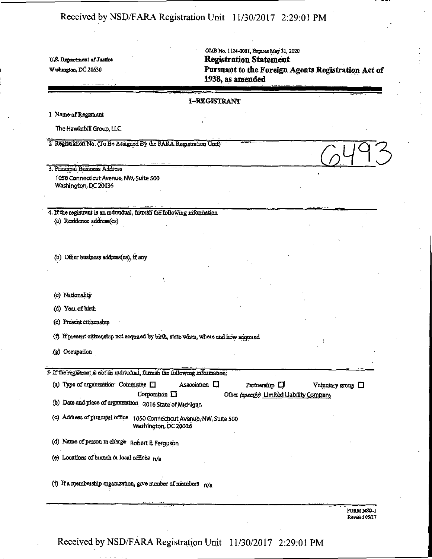OMB No. 1124-0001, Expues May 31, 2020 U.S. Department of Justice **Registration Statement Washington, DC 20530 Pursuant to the Foreign Agents Registration Act of 1938, as amended** 

#### **I-HKGISTRAMT**

1 Name ofRegisftant

The Hawksbill Group, LLC.

2. Registration No. (To Be Assigned By the FARA Registration Unit)

3. Principal Business Address 1050 Connecticut Avenue, NW, Suite 500 Washington, DC 20036

4. If the registrant is an mdrvidual, furnish the following information (a) Residence address(es)

(b) Other business address(es), if any

(c) Nationality

(d) Year of birth

(e) Present citizenship

(f) If present citizenship not acquired by birth, state when, where and how acquired

(g) Occopation

5 If the registrant is not an individual, furnish the following information.

| (a) Type of organization. Committee $\Box$ |                    | Association $\Box$ | Partnership LI                            | Voluntary group $\Box$ |  |
|--------------------------------------------|--------------------|--------------------|-------------------------------------------|------------------------|--|
|                                            | Corporation $\Box$ |                    | Other (specify) Limited Llability Company |                        |  |

(b) Date and place of organization 2016 State of Michigan

(c) Addiess of pimwpal office 1050 Connecticut Avenue, NW, Suite 500 Washington, be 20036"

(d) Name of person in charge Robert £. Ferguson

(e) Locations of bianch of local offices  $n/a$ 

(f) If a membership organization, grve number of members  $n/a$ 

FORM NSD-1 Revised 05/17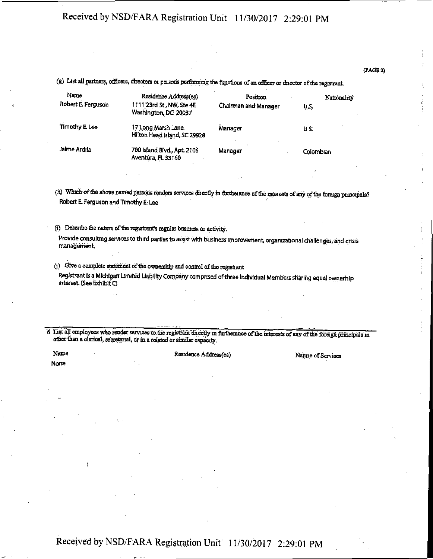#### (PAGE 2)

(g) List all partners, officers, directors ot poisons perfimnmg the functions of an officer or dnector of the registrant

| Name<br>Robert E. Ferguson | Residence Address(es)<br>1111 23rd St, NW, Ste 4E<br>Washington, DC 20037 | Position<br><b>Chairman and Manager</b> | Nationality<br>U.S. |
|----------------------------|---------------------------------------------------------------------------|-----------------------------------------|---------------------|
| Timothy E Lee              | 17 Long Marsh Lane.<br>Hilton Head Island, SC 29928                       | Manager                                 | US.                 |
| Jaime Ardila               | 700 Island Blvd., Apt. 2106<br>Aventura, FL 33160                         | Manager                                 | Colombian           |

(h) Which of the above named persons renders services duectly in furtheiance of the mteiests of any of the foreign principals? Robert E Ferguson and Trmothy E. Lee

(i) Describe the nature of the registrant's regular business or activity.

Provide consulting services to third parties to assist with business improvement, organizational challenges, and crisis management.

(j) Give a complete stalment of the ownerehip and control of the registiant Registrant Is a Michigan Limited Liability Company comprised of three Individual Members sharing equal ownerhlp interest (See Exhibit Q "

6 List all employees who render services to the registrant directly in furtherance of the interests of any of the foreign principals in other than a clerical, secretarial, or in a related or similar capacity.

None

1

### Name Residence Address(es) Nature of Services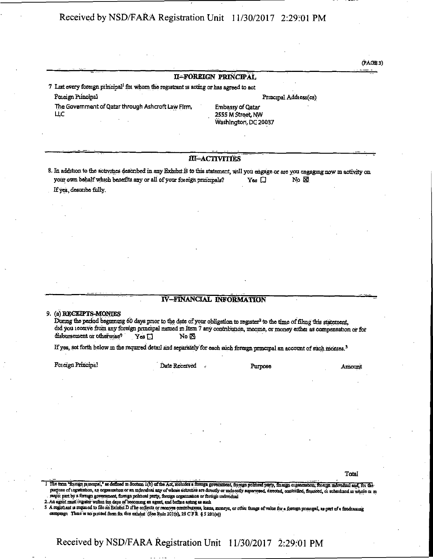#### II-FOREIGN PRINCIPAL

7 List every foreign principal<sup>1</sup> for whom the registrant is acting or has agreed to act

Foreign Principal

The Government of Oatar through Ashcroft Law Firm, LLC

Principal Address(es)

Embassy of Qatar 2555 M Street, NW Washington, DC 20037

#### III-ACTIVITIES

8. In addition to the activities described in any Exhibit B to this statement, will you engage or are you engaging now in activity on your own behalf which benefits any or all of your foreign principals?  $Yes \Box$  $No \n  $\boxtimes$$ 

If yes, describe fully.

#### **IV-FINANCIAL INFORMATION**

#### 9. (a) RECEIPTS-MONTES

During the period beginning 60 days prior to the date of your obligation to register<sup>2</sup> to the time of filmg this statement, did you ieceive from any foreign principal named in Item 7 any contribution, income, or money either as compensation or for disbursement or otherwise?  $Y$ es  $\square$ No **X** 

If yes, set forth below in the required detail and separately for each such foreign principal an account of such montes.<sup>3</sup>

Foreign Principal

Date Received

Purpose

Amount

Total

3 A regist ant u required to file an Exhibit D if he collects or receives contributions, loans, moneys, or other things of value for a foreign principal, as part of a fundrating campaign Their is no pinited form for this exhibit. (See Rule 201(e), 28 C FR § 5 201(e))

 $(PAGB3)$ 

<sup>1</sup> The term "foreign puncipal," as defined in Section 1(b) of the Act, moludes a foreign government, foreign political party, foreign caganzation, foreign individual and, for the purpose of tegetration, an organization or an individual any of whose solivities are directly or inducedy supervised, directed, controlled, financed, or subsidized in whole or in majoi part by a foreign government, foreign political party, foreign organization or foreign individual 2. An agent must register within ten days of hecoming an agent, and before acting as such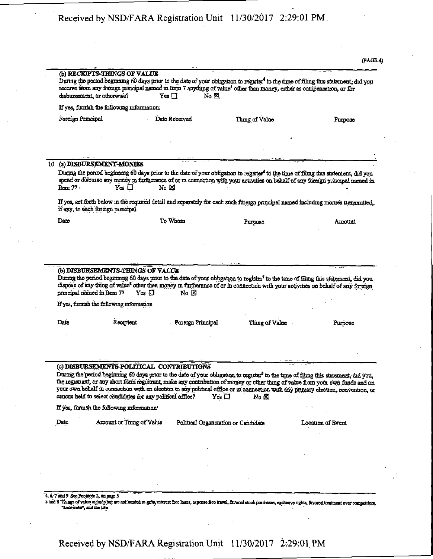|                   | (b) RECEIPTS-THINGS OF VALUE<br>disbursement, or otherwise?                                             | $Yes \Box$<br>No M       | During the period beginning 60 days prior to the date of your obligation to register <sup>4</sup> to the time of filing this statement, did you<br>receive from any foreign principal named in Item 7 anything of value <sup>5</sup> other than money, either as compensation, or for                                                                                                                                                         |                   |
|-------------------|---------------------------------------------------------------------------------------------------------|--------------------------|-----------------------------------------------------------------------------------------------------------------------------------------------------------------------------------------------------------------------------------------------------------------------------------------------------------------------------------------------------------------------------------------------------------------------------------------------|-------------------|
|                   | If yes, furnish the following information:                                                              |                          |                                                                                                                                                                                                                                                                                                                                                                                                                                               |                   |
| Foreign Principal |                                                                                                         | Date Received            | Thing of Value                                                                                                                                                                                                                                                                                                                                                                                                                                | Purpose           |
|                   |                                                                                                         |                          |                                                                                                                                                                                                                                                                                                                                                                                                                                               |                   |
| 10                | (a) DISBURSEMENT-MONIES                                                                                 |                          |                                                                                                                                                                                                                                                                                                                                                                                                                                               |                   |
|                   |                                                                                                         |                          | During the period beginning 60 days prior to the date of your obligation to register <sup>6</sup> to the time of filmg this statement, did you<br>spend or disbutse any money in furtherance of or in connection with your activities on behalf of any foreign principal named in                                                                                                                                                             |                   |
| $Item 72 \cdot$   | $Yes \Box$                                                                                              | $No & \boxtimes$         |                                                                                                                                                                                                                                                                                                                                                                                                                                               |                   |
|                   | if any, to each foreign puncipal.                                                                       |                          | If yes, set forth below in the required detail and separately for each such foreign principal named including momes transmitted,                                                                                                                                                                                                                                                                                                              |                   |
| Date              |                                                                                                         | To Whom                  | Purpose                                                                                                                                                                                                                                                                                                                                                                                                                                       | Amount            |
|                   | (b) DISBURSEMENTS-THINGS OF VALUE<br>$Yes \Box$                                                         | No ⊠                     | During the period beginning 60 days prior to the date of your obligation to register <sup>7</sup> to the time of filing this statement, did you<br>dispose of any thing of value <sup>8</sup> other than money in furtherance of or in connection with your activities on behalf of any foreign                                                                                                                                               |                   |
|                   | principal named in Item 77<br>If yes, formsh the following information                                  |                          |                                                                                                                                                                                                                                                                                                                                                                                                                                               |                   |
| Date              | Reorpient                                                                                               | <b>Foieign Principal</b> | Thing of Value                                                                                                                                                                                                                                                                                                                                                                                                                                | Purpose           |
|                   |                                                                                                         |                          |                                                                                                                                                                                                                                                                                                                                                                                                                                               |                   |
|                   |                                                                                                         |                          |                                                                                                                                                                                                                                                                                                                                                                                                                                               |                   |
|                   | (c) DISBURSEMENTS-POLITICAL CONTRIBUTIONS<br>caucus held to select candidates for any political office? |                          | During the period beginning 60 days prior to the date of your obligation to register <sup>9</sup> to the time of filmg this statement, did you,<br>the registrant, or any short form registrant, make any contribution of money or other thing of value from your own funds and on<br>your own behalf in connection with an election to any political office or in connection with any primary election, convention, or<br>$Yes \Box$<br>No ⊠ |                   |
|                   | If yes, furnish the following information'                                                              |                          |                                                                                                                                                                                                                                                                                                                                                                                                                                               |                   |
|                   | Amount or Thing of Value                                                                                |                          | Political Organization or Candidate                                                                                                                                                                                                                                                                                                                                                                                                           | Location of Event |
|                   |                                                                                                         |                          |                                                                                                                                                                                                                                                                                                                                                                                                                                               |                   |
|                   |                                                                                                         |                          |                                                                                                                                                                                                                                                                                                                                                                                                                                               |                   |
|                   |                                                                                                         |                          |                                                                                                                                                                                                                                                                                                                                                                                                                                               |                   |
| Date              |                                                                                                         |                          |                                                                                                                                                                                                                                                                                                                                                                                                                                               |                   |

"kickbacks", and the like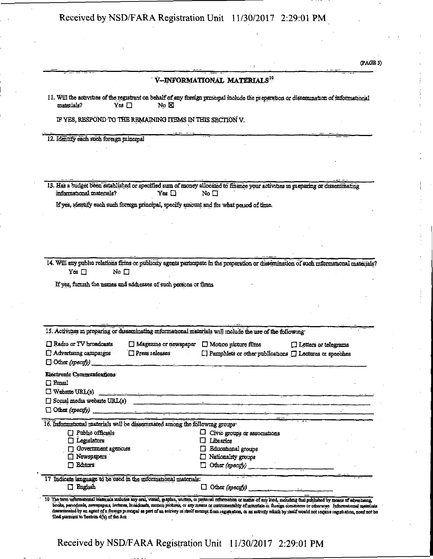(PAGES)

|                                                                                                                                                                                 |                                                                                                      | V-INFORMATIONAL MATERIALS <sup>10</sup>                                                                                                        |                             |
|---------------------------------------------------------------------------------------------------------------------------------------------------------------------------------|------------------------------------------------------------------------------------------------------|------------------------------------------------------------------------------------------------------------------------------------------------|-----------------------------|
| materials?                                                                                                                                                                      | No ⊠<br>Yes ⊡                                                                                        | 11. Will the activities of the registrant on behalf of any foreign principal include the preparation or dissemination of informational         |                             |
|                                                                                                                                                                                 | IF YES, RESPOND TO THE REMAINING ITEMS IN THIS SECTION V.                                            |                                                                                                                                                |                             |
| 12. Identify each such foreign puncipal                                                                                                                                         |                                                                                                      |                                                                                                                                                |                             |
|                                                                                                                                                                                 |                                                                                                      |                                                                                                                                                |                             |
|                                                                                                                                                                                 |                                                                                                      |                                                                                                                                                |                             |
|                                                                                                                                                                                 |                                                                                                      |                                                                                                                                                |                             |
| informational materials?                                                                                                                                                        | $\gamma$ es $\Box$                                                                                   | 13. Has a budget been established or specified sum of money allocated to finance your activities in preparing or disseminating<br>No $\square$ |                             |
|                                                                                                                                                                                 | If yes, identify each such foreign principal, specify amount and for what period of time.            |                                                                                                                                                |                             |
|                                                                                                                                                                                 |                                                                                                      |                                                                                                                                                |                             |
|                                                                                                                                                                                 |                                                                                                      |                                                                                                                                                |                             |
|                                                                                                                                                                                 |                                                                                                      |                                                                                                                                                |                             |
|                                                                                                                                                                                 |                                                                                                      |                                                                                                                                                |                             |
|                                                                                                                                                                                 |                                                                                                      |                                                                                                                                                |                             |
|                                                                                                                                                                                 |                                                                                                      | 14. Will any public relations firms or publicity agents participate in the preparation or dissemination of such informational materials?       |                             |
|                                                                                                                                                                                 |                                                                                                      |                                                                                                                                                |                             |
| Yes $\square$<br>No $\square$                                                                                                                                                   |                                                                                                      |                                                                                                                                                |                             |
|                                                                                                                                                                                 | If yes, furnish the names and addresses of such persons or firms                                     |                                                                                                                                                |                             |
|                                                                                                                                                                                 |                                                                                                      |                                                                                                                                                |                             |
|                                                                                                                                                                                 |                                                                                                      |                                                                                                                                                |                             |
|                                                                                                                                                                                 |                                                                                                      |                                                                                                                                                |                             |
|                                                                                                                                                                                 |                                                                                                      |                                                                                                                                                |                             |
|                                                                                                                                                                                 |                                                                                                      | 15. Activities in preparing or disseminating informational materials will include the use of the following                                     |                             |
|                                                                                                                                                                                 | $\Box$ Magazine or newspaper                                                                         | $\Box$ Motion picture films                                                                                                                    | $\Box$ Lotters or telegrams |
|                                                                                                                                                                                 | $\Box$ Press releases                                                                                | □ Pamphlets or other publications □ Lectures or speeches                                                                                       |                             |
|                                                                                                                                                                                 |                                                                                                      |                                                                                                                                                |                             |
|                                                                                                                                                                                 |                                                                                                      |                                                                                                                                                |                             |
|                                                                                                                                                                                 |                                                                                                      |                                                                                                                                                |                             |
|                                                                                                                                                                                 | an deur de betrouwer de region de production de la commune de la commune de la commune de la commune |                                                                                                                                                |                             |
|                                                                                                                                                                                 | the control of the control of the con-                                                               | [] Social media website URL(s)                                                                                                                 |                             |
|                                                                                                                                                                                 |                                                                                                      |                                                                                                                                                |                             |
|                                                                                                                                                                                 | 16. Informational materials will be disseminated among the following groups.                         |                                                                                                                                                |                             |
| $\Box$ Public officials                                                                                                                                                         |                                                                                                      | ப<br>Civic groups or associations                                                                                                              |                             |
| Legislators<br>Government agencies                                                                                                                                              |                                                                                                      | Libraries<br><b>Educational</b> groups                                                                                                         |                             |
| $\Box$ Newspapers                                                                                                                                                               |                                                                                                      | Nationality groups<br>EТ                                                                                                                       |                             |
| Editors:                                                                                                                                                                        |                                                                                                      | П                                                                                                                                              |                             |
|                                                                                                                                                                                 | 17 Indicate language to be used in the mformational materials:                                       |                                                                                                                                                |                             |
| Radio or TV broadcasts<br>Advertising campaigns<br>Other (specify)<br>Electronic Communications<br>$\Box$ Email<br>$\Box$ Website URL(s)<br>$\Box$ Other (specify)<br>□ English |                                                                                                      | $\Box$ Other (specyfy)                                                                                                                         |                             |